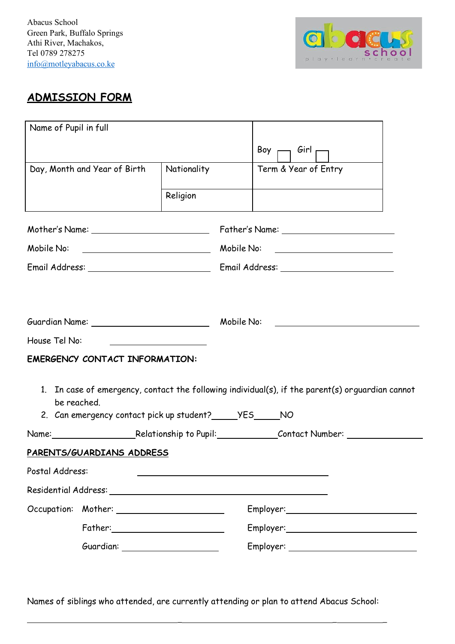Abacus School Green Park, Buffalo Springs Athi River, Machakos, Tel 0789 278275 info@motleyabacus.co.ke



## **ADMISSION FORM**

| Name of Pupil in full                                                                                          |                                                                                                  |                                            |  |                  |                                     |  |  |  |
|----------------------------------------------------------------------------------------------------------------|--------------------------------------------------------------------------------------------------|--------------------------------------------|--|------------------|-------------------------------------|--|--|--|
|                                                                                                                |                                                                                                  |                                            |  | Boy <sub>r</sub> | , <i>G</i> irl <sub>r</sub>         |  |  |  |
|                                                                                                                | Day, Month and Year of Birth                                                                     | Nationality                                |  |                  | Term & Year of Entry                |  |  |  |
|                                                                                                                |                                                                                                  | Religion                                   |  |                  |                                     |  |  |  |
|                                                                                                                |                                                                                                  |                                            |  |                  |                                     |  |  |  |
| Mobile No: Note and the Mobile Note and the Mobile Note and the Mobile Note and the Mobile Article of the Mobi |                                                                                                  |                                            |  |                  | Mobile No: ________________________ |  |  |  |
|                                                                                                                |                                                                                                  |                                            |  |                  |                                     |  |  |  |
|                                                                                                                | Guardian Name: 1988 1999 Mobile No:                                                              |                                            |  |                  |                                     |  |  |  |
| House Tel No:                                                                                                  |                                                                                                  |                                            |  |                  |                                     |  |  |  |
|                                                                                                                | <b>EMERGENCY CONTACT INFORMATION:</b>                                                            | <u> 1990 - Johann Barbara, martin eta </u> |  |                  |                                     |  |  |  |
|                                                                                                                |                                                                                                  |                                            |  |                  |                                     |  |  |  |
| be reached.                                                                                                    | 1. In case of emergency, contact the following individual(s), if the parent(s) orguardian cannot |                                            |  |                  |                                     |  |  |  |
| 2. Can emergency contact pick up student? ______ YES ______ NO                                                 |                                                                                                  |                                            |  |                  |                                     |  |  |  |
|                                                                                                                | PARENTS/GUARDIANS ADDRESS                                                                        |                                            |  |                  |                                     |  |  |  |
| Postal Address:                                                                                                |                                                                                                  |                                            |  |                  |                                     |  |  |  |
|                                                                                                                |                                                                                                  |                                            |  |                  |                                     |  |  |  |
|                                                                                                                |                                                                                                  |                                            |  |                  |                                     |  |  |  |
|                                                                                                                |                                                                                                  |                                            |  |                  |                                     |  |  |  |
|                                                                                                                |                                                                                                  |                                            |  |                  |                                     |  |  |  |
|                                                                                                                | Guardian: _____________________                                                                  |                                            |  |                  |                                     |  |  |  |

Names of siblings who attended, are currently attending or plan to attend Abacus School:

\_ \_ \_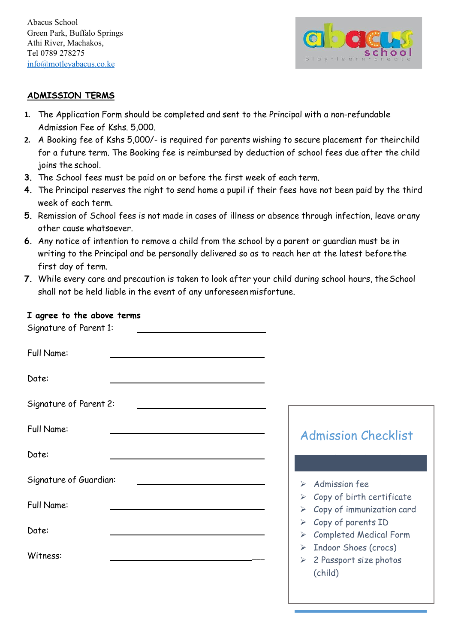Abacus School Green Park, Buffalo Springs Athi River, Machakos, Tel 0789 278275 info@motleyabacus.co.ke



## **ADMISSION TERMS**

- **1.** The Application Form should be completed and sent to the Principal with a non-refundable Admission Fee of Kshs. 5,000.
- **2.** A Booking fee of Kshs 5,000/- is required for parents wishing to secure placement for theirchild for a future term. The Booking fee is reimbursed by deduction of school fees due after the child joins the school.
- **3.** The School fees must be paid on or before the first week of each term.
- **4.** The Principal reserves the right to send home a pupil if their fees have not been paid by the third week of each term.
- **5.** Remission of School fees is not made in cases of illness or absence through infection, leave orany other cause whatsoever.
- **6.** Any notice of intention to remove a child from the school by a parent or guardian must be in writing to the Principal and be personally delivered so as to reach her at the latest beforethe first day of term.
- **7.** While every care and precaution is taken to look after your child during school hours, theSchool shall not be held liable in the event of any unforeseen misfortune.

## **I agree to the above terms**

| Signature of Parent 1: |                                                                                         |
|------------------------|-----------------------------------------------------------------------------------------|
| Full Name:             |                                                                                         |
| Date:                  |                                                                                         |
| Signature of Parent 2: |                                                                                         |
| Full Name:             | <b>Admission Checklist</b>                                                              |
| Date:                  |                                                                                         |
| Signature of Guardian: | Admission fee<br>➤                                                                      |
| Full Name:             | Copy of birth certificate<br>➤<br>Copy of immunization card<br>➤                        |
| Date:                  | Copy of parents ID<br>➤<br><b>Completed Medical Form</b><br>➤                           |
| Witness:               | Indoor Shoes (crocs)<br>$\blacktriangleright$<br>2 Passport size photos<br>➤<br>(child) |